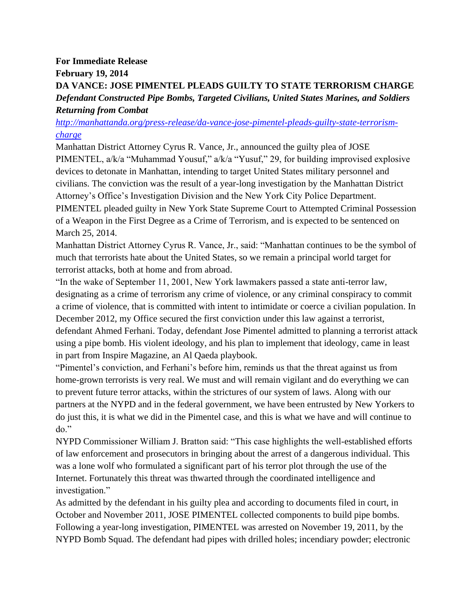## **For Immediate Release**

**February 19, 2014**

## **DA VANCE: JOSE PIMENTEL PLEADS GUILTY TO STATE TERRORISM CHARGE** *Defendant Constructed Pipe Bombs, Targeted Civilians, United States Marines, and Soldiers Returning from Combat*

*[http://manhattanda.org/press-release/da-vance-jose-pimentel-pleads-guilty-state-terrorism](http://manhattanda.org/press-release/da-vance-jose-pimentel-pleads-guilty-state-terrorism-charge)[charge](http://manhattanda.org/press-release/da-vance-jose-pimentel-pleads-guilty-state-terrorism-charge)*

Manhattan District Attorney Cyrus R. Vance, Jr., announced the guilty plea of JOSE PIMENTEL, a/k/a "Muhammad Yousuf," a/k/a "Yusuf," 29, for building improvised explosive devices to detonate in Manhattan, intending to target United States military personnel and civilians. The conviction was the result of a year-long investigation by the Manhattan District Attorney's Office's Investigation Division and the New York City Police Department. PIMENTEL pleaded guilty in New York State Supreme Court to Attempted Criminal Possession of a Weapon in the First Degree as a Crime of Terrorism, and is expected to be sentenced on March 25, 2014.

Manhattan District Attorney Cyrus R. Vance, Jr., said: "Manhattan continues to be the symbol of much that terrorists hate about the United States, so we remain a principal world target for terrorist attacks, both at home and from abroad.

"In the wake of September 11, 2001, New York lawmakers passed a state anti-terror law, designating as a crime of terrorism any crime of violence, or any criminal conspiracy to commit a crime of violence, that is committed with intent to intimidate or coerce a civilian population. In December 2012, my Office secured the first conviction under this law against a terrorist, defendant Ahmed Ferhani. Today, defendant Jose Pimentel admitted to planning a terrorist attack using a pipe bomb. His violent ideology, and his plan to implement that ideology, came in least in part from Inspire Magazine, an Al Qaeda playbook.

"Pimentel's conviction, and Ferhani's before him, reminds us that the threat against us from home-grown terrorists is very real. We must and will remain vigilant and do everything we can to prevent future terror attacks, within the strictures of our system of laws. Along with our partners at the NYPD and in the federal government, we have been entrusted by New Yorkers to do just this, it is what we did in the Pimentel case, and this is what we have and will continue to do."

NYPD Commissioner William J. Bratton said: "This case highlights the well-established efforts of law enforcement and prosecutors in bringing about the arrest of a dangerous individual. This was a lone wolf who formulated a significant part of his terror plot through the use of the Internet. Fortunately this threat was thwarted through the coordinated intelligence and investigation."

As admitted by the defendant in his guilty plea and according to documents filed in court, in October and November 2011, JOSE PIMENTEL collected components to build pipe bombs. Following a year-long investigation, PIMENTEL was arrested on November 19, 2011, by the NYPD Bomb Squad. The defendant had pipes with drilled holes; incendiary powder; electronic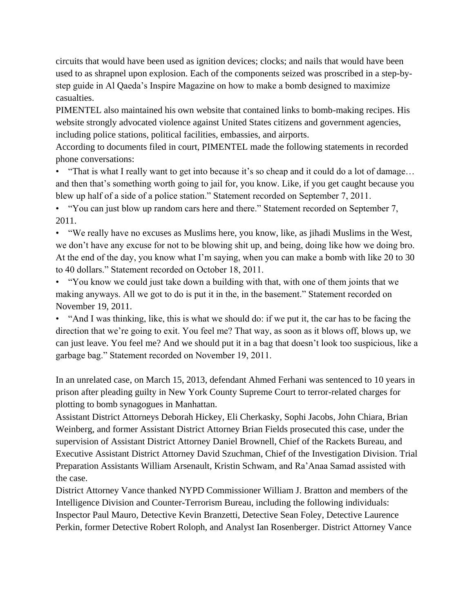circuits that would have been used as ignition devices; clocks; and nails that would have been used to as shrapnel upon explosion. Each of the components seized was proscribed in a step-bystep guide in Al Qaeda's Inspire Magazine on how to make a bomb designed to maximize casualties.

PIMENTEL also maintained his own website that contained links to bomb-making recipes. His website strongly advocated violence against United States citizens and government agencies, including police stations, political facilities, embassies, and airports.

According to documents filed in court, PIMENTEL made the following statements in recorded phone conversations:

• "That is what I really want to get into because it's so cheap and it could do a lot of damage... and then that's something worth going to jail for, you know. Like, if you get caught because you blew up half of a side of a police station." Statement recorded on September 7, 2011.

• "You can just blow up random cars here and there." Statement recorded on September 7, 2011.

• "We really have no excuses as Muslims here, you know, like, as jihadi Muslims in the West, we don't have any excuse for not to be blowing shit up, and being, doing like how we doing bro. At the end of the day, you know what I'm saying, when you can make a bomb with like 20 to 30 to 40 dollars." Statement recorded on October 18, 2011.

• "You know we could just take down a building with that, with one of them joints that we making anyways. All we got to do is put it in the, in the basement." Statement recorded on November 19, 2011.

• "And I was thinking, like, this is what we should do: if we put it, the car has to be facing the direction that we're going to exit. You feel me? That way, as soon as it blows off, blows up, we can just leave. You feel me? And we should put it in a bag that doesn't look too suspicious, like a garbage bag." Statement recorded on November 19, 2011.

In an unrelated case, on March 15, 2013, defendant Ahmed Ferhani was sentenced to 10 years in prison after pleading guilty in New York County Supreme Court to terror-related charges for plotting to bomb synagogues in Manhattan.

Assistant District Attorneys Deborah Hickey, Eli Cherkasky, Sophi Jacobs, John Chiara, Brian Weinberg, and former Assistant District Attorney Brian Fields prosecuted this case, under the supervision of Assistant District Attorney Daniel Brownell, Chief of the Rackets Bureau, and Executive Assistant District Attorney David Szuchman, Chief of the Investigation Division. Trial Preparation Assistants William Arsenault, Kristin Schwam, and Ra'Anaa Samad assisted with the case.

District Attorney Vance thanked NYPD Commissioner William J. Bratton and members of the Intelligence Division and Counter-Terrorism Bureau, including the following individuals: Inspector Paul Mauro, Detective Kevin Branzetti, Detective Sean Foley, Detective Laurence Perkin, former Detective Robert Roloph, and Analyst Ian Rosenberger. District Attorney Vance